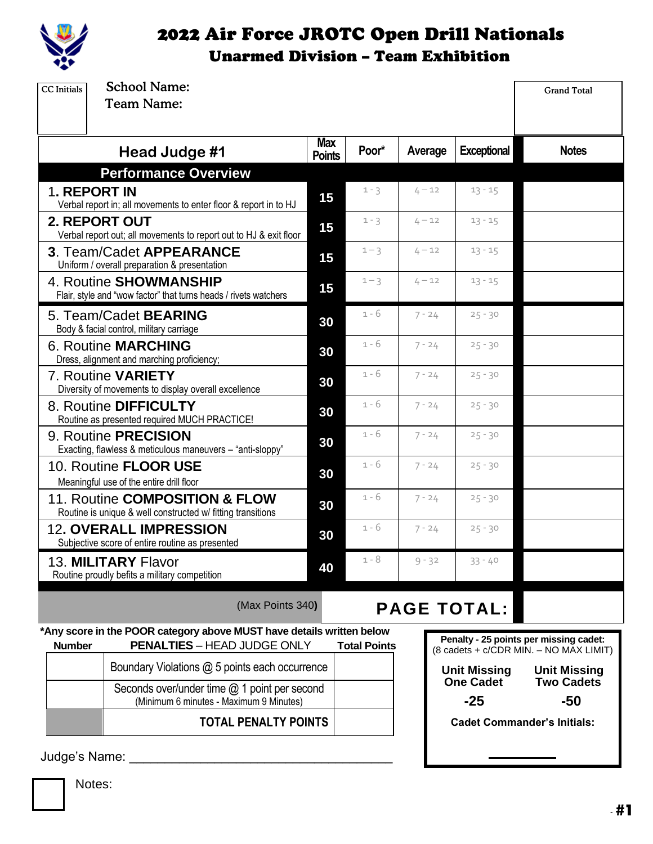

### 2022 Air Force JROTC Open Drill Nationals Unarmed Division – Team Exhibition

| <b>School Name:</b><br><b>CC</b> Initials<br><b>Team Name:</b>                                                               |                             |                     |          |                           | <b>Grand Total</b>                                                               |
|------------------------------------------------------------------------------------------------------------------------------|-----------------------------|---------------------|----------|---------------------------|----------------------------------------------------------------------------------|
| Head Judge #1                                                                                                                | <b>Max</b><br><b>Points</b> | Poor*               | Average  | <b>Exceptional</b>        | <b>Notes</b>                                                                     |
| <b>Performance Overview</b>                                                                                                  |                             |                     |          |                           |                                                                                  |
| <b>1. REPORT IN</b><br>Verbal report in; all movements to enter floor & report in to HJ                                      | 15                          | $1 - 3$             | $4 - 12$ | $13 - 15$                 |                                                                                  |
| <b>2. REPORT OUT</b><br>Verbal report out; all movements to report out to HJ & exit floor                                    | 15                          | $1 - 3$             | $4 - 12$ | $13 - 15$                 |                                                                                  |
| 3. Team/Cadet APPEARANCE<br>Uniform / overall preparation & presentation                                                     | 15                          | $1 - 3$             | $4 - 12$ | $13 - 15$                 |                                                                                  |
| 4. Routine SHOWMANSHIP<br>Flair, style and "wow factor" that turns heads / rivets watchers                                   | 15                          | $1 - 3$             | $4 - 12$ | $13 - 15$                 |                                                                                  |
| 5. Team/Cadet <b>BEARING</b><br>Body & facial control, military carriage                                                     | 30                          | 1 - 6               | $7 - 24$ | $25 - 30$                 |                                                                                  |
| <b>6. Routine MARCHING</b><br>Dress, alignment and marching proficiency;                                                     | 30                          | 1 - 6               | $7 - 24$ | $25 - 30$                 |                                                                                  |
| 7. Routine VARIETY<br>Diversity of movements to display overall excellence                                                   | 30                          | $1 - 6$             | $7 - 24$ | $25 - 30$                 |                                                                                  |
| 8. Routine DIFFICULTY<br>Routine as presented required MUCH PRACTICE!                                                        | 30                          | 1 - 6               | $7 - 24$ | $25 - 30$                 |                                                                                  |
| 9. Routine <b>PRECISION</b><br>Exacting, flawless & meticulous maneuvers - "anti-sloppy"                                     | 30                          | 1 - 6               | $7 - 24$ | $25 - 30$                 |                                                                                  |
| 10. Routine FLOOR USE<br>Meaningful use of the entire drill floor                                                            | 30                          | $1 - 6$             | $7 - 24$ | $25 - 30$                 |                                                                                  |
| 11. Routine COMPOSITION & FLOW<br>Routine is unique & well constructed w/ fitting transitions                                | 30                          | $1 - 6$             | $7 - 24$ | $25 - 30$                 |                                                                                  |
| <b>12. OVERALL IMPRESSION</b><br>Subjective score of entire routine as presented                                             | 30                          | 1 - 6               | $7 - 24$ | $25 - 30$                 |                                                                                  |
| 13. MILITARY Flavor<br>Routine proudly befits a military competition                                                         | 40                          | 1 - 8               | $9 - 32$ | $33 - 40$                 |                                                                                  |
| (Max Points 340)                                                                                                             |                             |                     |          | <b>PAGE TOTAL:</b>        |                                                                                  |
| *Any score in the POOR category above MUST have details written below<br><b>PENALTIES - HEAD JUDGE ONLY</b><br><b>Number</b> |                             | <b>Total Points</b> |          |                           | Penalty - 25 points per missing cadet:<br>(8 cadets + c/CDR MIN. - NO MAX LIMIT) |
| Boundary Violations @ 5 points each occurrence                                                                               |                             |                     |          | <b>Unit Missing</b>       | <b>Unit Missing</b>                                                              |
| Seconds over/under time $@$ 1 point per second<br>(Minimum 6 minutes - Maximum 9 Minutes)                                    |                             |                     |          | <b>One Cadet</b><br>$-25$ | <b>Two Cadets</b><br>$-50$                                                       |
| <b>TOTAL PENALTY POINTS</b>                                                                                                  |                             |                     |          |                           | <b>Cadet Commander's Initials:</b>                                               |

Judge's Name: \_\_\_\_\_\_\_\_\_\_\_\_\_\_\_\_\_\_\_\_\_\_\_\_\_\_\_\_\_\_\_\_\_\_\_\_\_

Notes: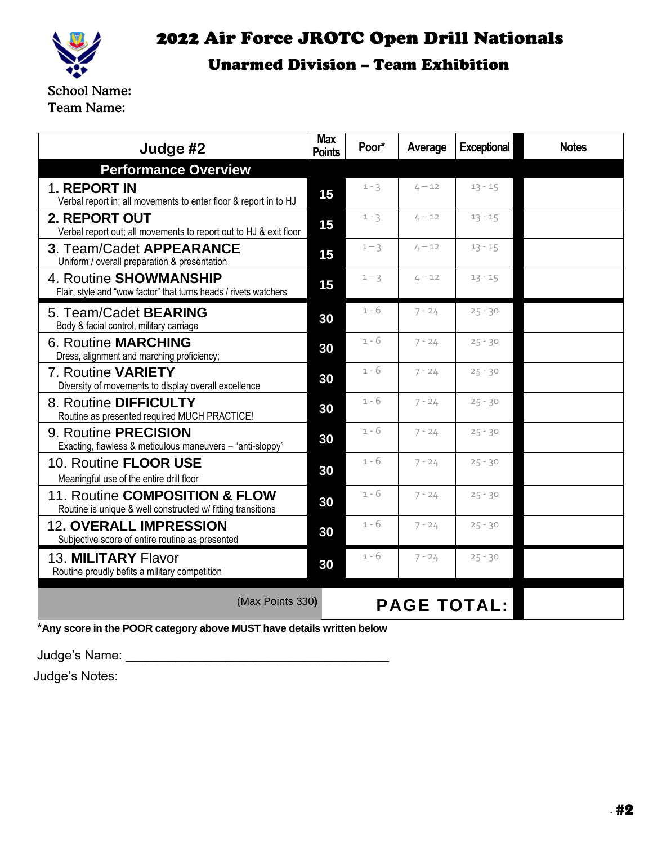

### 2022 Air Force JROTC Open Drill Nationals Unarmed Division – Team Exhibition

School Name: Team Name:

| Judge #2                                                                                      | <b>Max</b><br><b>Points</b> | Poor*   | Average  | <b>Exceptional</b> | <b>Notes</b> |
|-----------------------------------------------------------------------------------------------|-----------------------------|---------|----------|--------------------|--------------|
| <b>Performance Overview</b>                                                                   |                             |         |          |                    |              |
| <b>1. REPORT IN</b><br>Verbal report in; all movements to enter floor & report in to HJ       | 15                          | $1 - 3$ | $4 - 12$ | $13 - 15$          |              |
| <b>2. REPORT OUT</b><br>Verbal report out; all movements to report out to HJ & exit floor     | 15                          | $1 - 3$ | $4 - 12$ | $13 - 15$          |              |
| 3. Team/Cadet APPEARANCE<br>Uniform / overall preparation & presentation                      | 15                          | $1 - 3$ | $4 - 12$ | $13 - 15$          |              |
| 4. Routine SHOWMANSHIP<br>Flair, style and "wow factor" that turns heads / rivets watchers    | 15                          | $1 - 3$ | $4 - 12$ | $13 - 15$          |              |
| 5. Team/Cadet <b>BEARING</b><br>Body & facial control, military carriage                      | 30                          | $1 - 6$ | $7 - 24$ | $25 - 30$          |              |
| <b>6. Routine MARCHING</b><br>Dress, alignment and marching proficiency;                      | 30                          | $1 - 6$ | $7 - 24$ | $25 - 30$          |              |
| 7. Routine VARIETY<br>Diversity of movements to display overall excellence                    | 30                          | $1 - 6$ | $7 - 24$ | $25 - 30$          |              |
| 8. Routine DIFFICULTY<br>Routine as presented required MUCH PRACTICE!                         | 30                          | $1 - 6$ | $7 - 24$ | $25 - 30$          |              |
| 9. Routine <b>PRECISION</b><br>Exacting, flawless & meticulous maneuvers - "anti-sloppy"      | 30                          | $1 - 6$ | $7 - 24$ | $25 - 30$          |              |
| 10. Routine <b>FLOOR USE</b><br>Meaningful use of the entire drill floor                      | 30                          | $1 - 6$ | $7 - 24$ | $25 - 30$          |              |
| 11. Routine COMPOSITION & FLOW<br>Routine is unique & well constructed w/ fitting transitions | 30                          | $1 - 6$ | $7 - 24$ | $25 - 30$          |              |
| <b>12. OVERALL IMPRESSION</b><br>Subjective score of entire routine as presented              | 30                          | 1 - 6   | $7 - 24$ | $25 - 30$          |              |
| 13. MILITARY Flavor<br>Routine proudly befits a military competition                          | 30                          | $1 - 6$ | $7 - 24$ | $25 - 30$          |              |
| (Max Points 330)<br><b>PAGE TOTAL:</b>                                                        |                             |         |          |                    |              |

\***Any score in the POOR category above MUST have details written below**

Judge's Name: \_\_\_\_\_\_\_\_\_\_\_\_\_\_\_\_\_\_\_\_\_\_\_\_\_\_\_\_\_\_\_\_\_\_\_\_\_

Judge's Notes: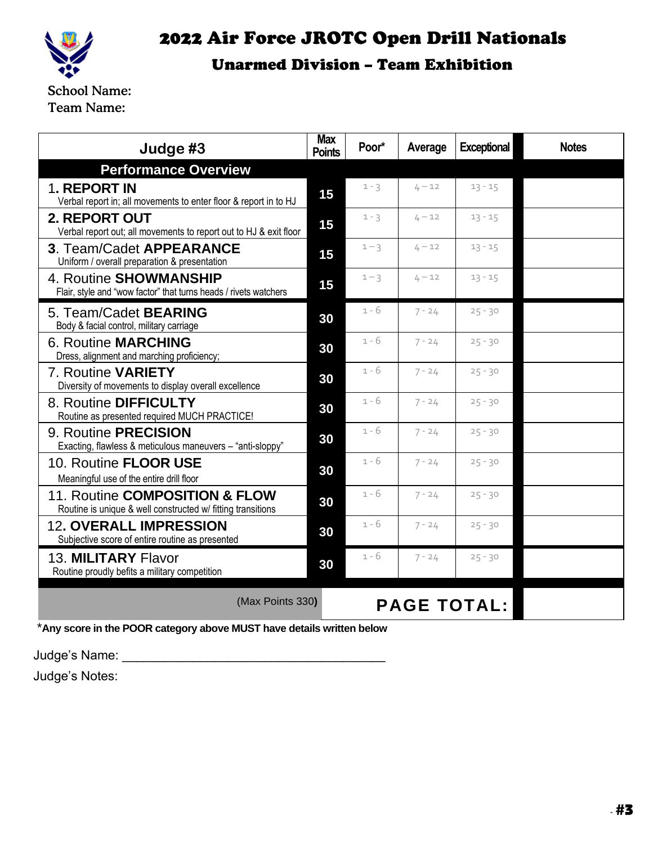

## 2022 Air Force JROTC Open Drill Nationals

#### Unarmed Division – Team Exhibition

School Name: Team Name:

| Judge #3                                                                                      | <b>Max</b><br><b>Points</b> | Poor*   | Average  | <b>Exceptional</b> | <b>Notes</b> |
|-----------------------------------------------------------------------------------------------|-----------------------------|---------|----------|--------------------|--------------|
| <b>Performance Overview</b>                                                                   |                             |         |          |                    |              |
| 1. REPORT IN<br>Verbal report in; all movements to enter floor & report in to HJ              | 15                          | $1 - 3$ | $4 - 12$ | $13 - 15$          |              |
| <b>2. REPORT OUT</b><br>Verbal report out; all movements to report out to HJ & exit floor     | 15                          | $1 - 3$ | $4 - 12$ | $13 - 15$          |              |
| 3. Team/Cadet APPEARANCE<br>Uniform / overall preparation & presentation                      | 15                          | $1 - 3$ | $4 - 12$ | $13 - 15$          |              |
| 4. Routine SHOWMANSHIP<br>Flair, style and "wow factor" that turns heads / rivets watchers    | 15                          | $1 - 3$ | $4 - 12$ | $13 - 15$          |              |
| 5. Team/Cadet <b>BEARING</b><br>Body & facial control, military carriage                      | 30                          | $1 - 6$ | $7 - 24$ | $25 - 30$          |              |
| <b>6. Routine MARCHING</b><br>Dress, alignment and marching proficiency;                      | 30                          | $1 - 6$ | $7 - 24$ | $25 - 30$          |              |
| 7. Routine VARIETY<br>Diversity of movements to display overall excellence                    | 30                          | $1 - 6$ | $7 - 24$ | $25 - 30$          |              |
| 8. Routine DIFFICULTY<br>Routine as presented required MUCH PRACTICE!                         | 30                          | $1 - 6$ | $7 - 24$ | $25 - 30$          |              |
| 9. Routine PRECISION<br>Exacting, flawless & meticulous maneuvers - "anti-sloppy"             | 30                          | $1 - 6$ | $7 - 24$ | $25 - 30$          |              |
| 10. Routine FLOOR USE<br>Meaningful use of the entire drill floor                             | 30                          | $1 - 6$ | $7 - 24$ | $25 - 30$          |              |
| 11. Routine COMPOSITION & FLOW<br>Routine is unique & well constructed w/ fitting transitions | 30                          | $1 - 6$ | $7 - 24$ | $25 - 30$          |              |
| <b>12. OVERALL IMPRESSION</b><br>Subjective score of entire routine as presented              | 30                          | $1 - 6$ | $7 - 24$ | $25 - 30$          |              |
| 13. MILITARY Flavor<br>Routine proudly befits a military competition                          | 30                          | 1 - 6   | $7 - 24$ | $25 - 30$          |              |
| (Max Points 330)<br><b>PAGE TOTAL:</b>                                                        |                             |         |          |                    |              |

\***Any score in the POOR category above MUST have details written below**

Judge's Name: \_\_\_\_\_\_\_\_\_\_\_\_\_\_\_\_\_\_\_\_\_\_\_\_\_\_\_\_\_\_\_\_\_\_\_\_\_

Judge's Notes: